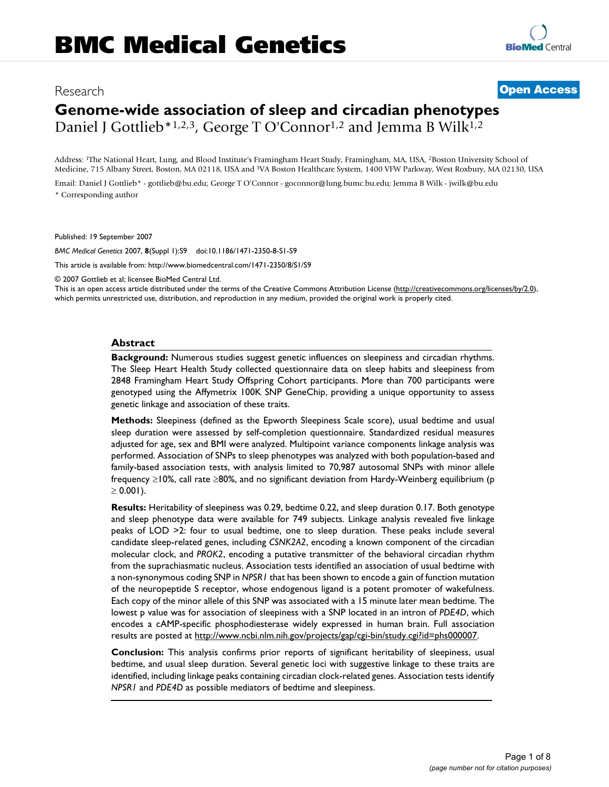## Research **[Open Access](http://www.biomedcentral.com/info/about/charter/)**

# **Genome-wide association of sleep and circadian phenotypes** Daniel J Gottlieb<sup>\*1,2,3</sup>, George T O'Connor<sup>1,2</sup> and Jemma B Wilk<sup>1,2</sup>

Address: 1The National Heart, Lung, and Blood Institute's Framingham Heart Study, Framingham, MA, USA, 2Boston University School of Medicine, 715 Albany Street, Boston, MA 02118, USA and 3VA Boston Healthcare System, 1400 VFW Parkway, West Roxbury, MA 02130, USA

Email: Daniel J Gottlieb\* - gottlieb@bu.edu; George T O'Connor - goconnor@lung.bumc.bu.edu; Jemma B Wilk - jwilk@bu.edu \* Corresponding author

Published: 19 September 2007

*BMC Medical Genetics* 2007, **8**(Suppl 1):S9 doi:10.1186/1471-2350-8-S1-S9

[This article is available from: http://www.biomedcentral.com/1471-2350/8/S1/S9](http://www.biomedcentral.com/1471-2350/8/S1/S9)

© 2007 Gottlieb et al; licensee BioMed Central Ltd.

This is an open access article distributed under the terms of the Creative Commons Attribution License [\(http://creativecommons.org/licenses/by/2.0\)](http://creativecommons.org/licenses/by/2.0), which permits unrestricted use, distribution, and reproduction in any medium, provided the original work is properly cited.

#### **Abstract**

**Background:** Numerous studies suggest genetic influences on sleepiness and circadian rhythms. The Sleep Heart Health Study collected questionnaire data on sleep habits and sleepiness from 2848 Framingham Heart Study Offspring Cohort participants. More than 700 participants were genotyped using the Affymetrix 100K SNP GeneChip, providing a unique opportunity to assess genetic linkage and association of these traits.

**Methods:** Sleepiness (defined as the Epworth Sleepiness Scale score), usual bedtime and usual sleep duration were assessed by self-completion questionnaire. Standardized residual measures adjusted for age, sex and BMI were analyzed. Multipoint variance components linkage analysis was performed. Association of SNPs to sleep phenotypes was analyzed with both population-based and family-based association tests, with analysis limited to 70,987 autosomal SNPs with minor allele frequency ≥10%, call rate ≥80%, and no significant deviation from Hardy-Weinberg equilibrium (p  $\geq 0.001$ ).

**Results:** Heritability of sleepiness was 0.29, bedtime 0.22, and sleep duration 0.17. Both genotype and sleep phenotype data were available for 749 subjects. Linkage analysis revealed five linkage peaks of LOD >2: four to usual bedtime, one to sleep duration. These peaks include several candidate sleep-related genes, including *CSNK2A2*, encoding a known component of the circadian molecular clock, and *PROK2*, encoding a putative transmitter of the behavioral circadian rhythm from the suprachiasmatic nucleus. Association tests identified an association of usual bedtime with a non-synonymous coding SNP in *NPSR1* that has been shown to encode a gain of function mutation of the neuropeptide S receptor, whose endogenous ligand is a potent promoter of wakefulness. Each copy of the minor allele of this SNP was associated with a 15 minute later mean bedtime. The lowest p value was for association of sleepiness with a SNP located in an intron of *PDE4D*, which encodes a cAMP-specific phosphodiesterase widely expressed in human brain. Full association results are posted at [http://www.ncbi.nlm.nih.gov/projects/gap/cgi-bin/study.cgi?id=phs000007.](http://www.ncbi.nlm.nih.gov/projects/gap/cgi-bin/study.cgi?id=phs000007)

**Conclusion:** This analysis confirms prior reports of significant heritability of sleepiness, usual bedtime, and usual sleep duration. Several genetic loci with suggestive linkage to these traits are identified, including linkage peaks containing circadian clock-related genes. Association tests identify *NPSR1* and *PDE4D* as possible mediators of bedtime and sleepiness.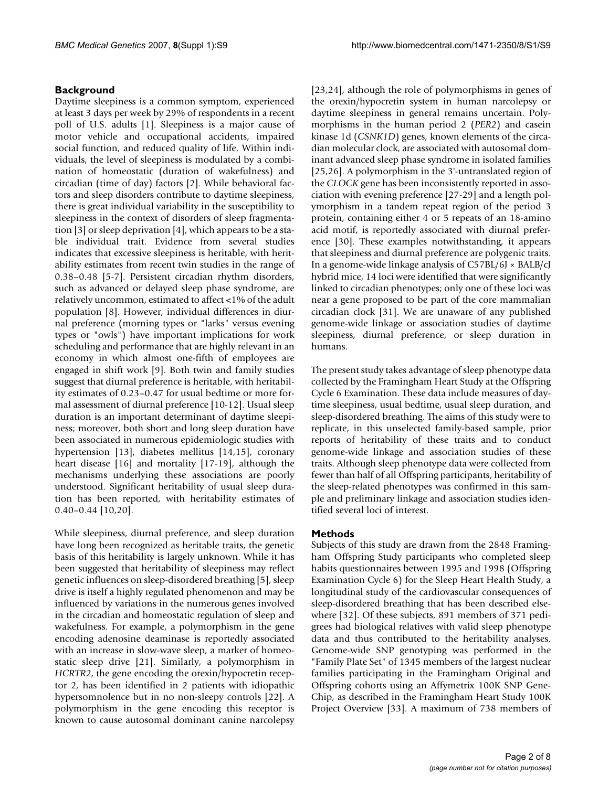## **Background**

Daytime sleepiness is a common symptom, experienced at least 3 days per week by 29% of respondents in a recent poll of U.S. adults [1]. Sleepiness is a major cause of motor vehicle and occupational accidents, impaired social function, and reduced quality of life. Within individuals, the level of sleepiness is modulated by a combination of homeostatic (duration of wakefulness) and circadian (time of day) factors [2]. While behavioral factors and sleep disorders contribute to daytime sleepiness, there is great individual variability in the susceptibility to sleepiness in the context of disorders of sleep fragmentation [3] or sleep deprivation [4], which appears to be a stable individual trait. Evidence from several studies indicates that excessive sleepiness is heritable, with heritability estimates from recent twin studies in the range of 0.38–0.48 [5-7]. Persistent circadian rhythm disorders, such as advanced or delayed sleep phase syndrome, are relatively uncommon, estimated to affect <1% of the adult population [8]. However, individual differences in diurnal preference (morning types or "larks" versus evening types or "owls") have important implications for work scheduling and performance that are highly relevant in an economy in which almost one-fifth of employees are engaged in shift work [9]. Both twin and family studies suggest that diurnal preference is heritable, with heritability estimates of 0.23–0.47 for usual bedtime or more formal assessment of diurnal preference [10-12]. Usual sleep duration is an important determinant of daytime sleepiness; moreover, both short and long sleep duration have been associated in numerous epidemiologic studies with hypertension [13], diabetes mellitus [14,15], coronary heart disease [16] and mortality [17-19], although the mechanisms underlying these associations are poorly understood. Significant heritability of usual sleep duration has been reported, with heritability estimates of  $0.40 - 0.44$  [10,20].

While sleepiness, diurnal preference, and sleep duration have long been recognized as heritable traits, the genetic basis of this heritability is largely unknown. While it has been suggested that heritability of sleepiness may reflect genetic influences on sleep-disordered breathing [5], sleep drive is itself a highly regulated phenomenon and may be influenced by variations in the numerous genes involved in the circadian and homeostatic regulation of sleep and wakefulness. For example, a polymorphism in the gene encoding adenosine deaminase is reportedly associated with an increase in slow-wave sleep, a marker of homeostatic sleep drive [21]. Similarly, a polymorphism in *HCRTR2*, the gene encoding the orexin/hypocretin receptor 2, has been identified in 2 patients with idiopathic hypersomnolence but in no non-sleepy controls [22]. A polymorphism in the gene encoding this receptor is known to cause autosomal dominant canine narcolepsy

[23,24], although the role of polymorphisms in genes of the orexin/hypocretin system in human narcolepsy or daytime sleepiness in general remains uncertain. Polymorphisms in the human period 2 (*PER2*) and casein kinase 1d (*CSNK1D*) genes, known elements of the circadian molecular clock, are associated with autosomal dominant advanced sleep phase syndrome in isolated families [25,26]. A polymorphism in the 3'-untranslated region of the *CLOCK* gene has been inconsistently reported in association with evening preference [27-29] and a length polymorphism in a tandem repeat region of the period 3 protein, containing either 4 or 5 repeats of an 18-amino acid motif, is reportedly associated with diurnal preference [30]. These examples notwithstanding, it appears that sleepiness and diurnal preference are polygenic traits. In a genome-wide linkage analysis of C57BL/6J × BALB/cJ hybrid mice, 14 loci were identified that were significantly linked to circadian phenotypes; only one of these loci was near a gene proposed to be part of the core mammalian circadian clock [31]. We are unaware of any published genome-wide linkage or association studies of daytime sleepiness, diurnal preference, or sleep duration in humans.

The present study takes advantage of sleep phenotype data collected by the Framingham Heart Study at the Offspring Cycle 6 Examination. These data include measures of daytime sleepiness, usual bedtime, usual sleep duration, and sleep-disordered breathing. The aims of this study were to replicate, in this unselected family-based sample, prior reports of heritability of these traits and to conduct genome-wide linkage and association studies of these traits. Although sleep phenotype data were collected from fewer than half of all Offspring participants, heritability of the sleep-related phenotypes was confirmed in this sample and preliminary linkage and association studies identified several loci of interest.

#### **Methods**

Subjects of this study are drawn from the 2848 Framingham Offspring Study participants who completed sleep habits questionnaires between 1995 and 1998 (Offspring Examination Cycle 6) for the Sleep Heart Health Study, a longitudinal study of the cardiovascular consequences of sleep-disordered breathing that has been described elsewhere [32]. Of these subjects, 891 members of 371 pedigrees had biological relatives with valid sleep phenotype data and thus contributed to the heritability analyses. Genome-wide SNP genotyping was performed in the "Family Plate Set" of 1345 members of the largest nuclear families participating in the Framingham Original and Offspring cohorts using an Affymetrix 100K SNP Gene-Chip, as described in the Framingham Heart Study 100K Project Overview [33]. A maximum of 738 members of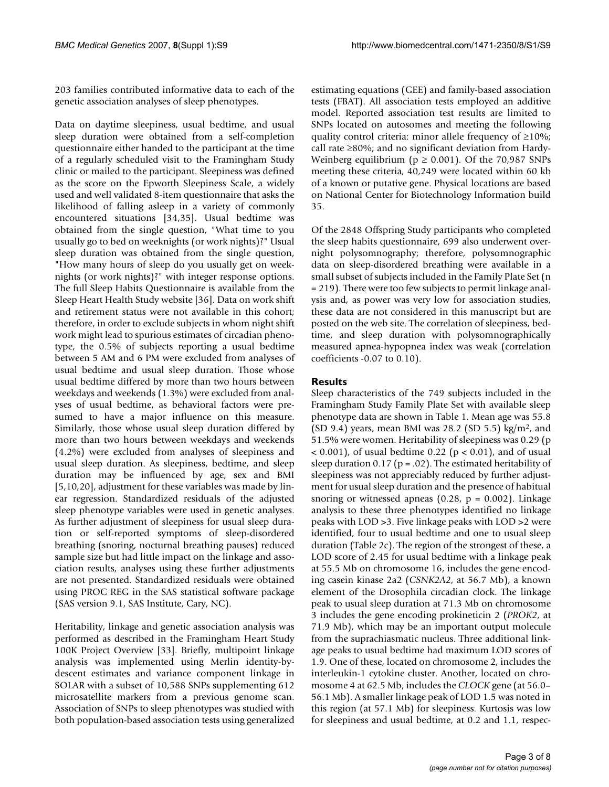203 families contributed informative data to each of the genetic association analyses of sleep phenotypes.

Data on daytime sleepiness, usual bedtime, and usual sleep duration were obtained from a self-completion questionnaire either handed to the participant at the time of a regularly scheduled visit to the Framingham Study clinic or mailed to the participant. Sleepiness was defined as the score on the Epworth Sleepiness Scale, a widely used and well validated 8-item questionnaire that asks the likelihood of falling asleep in a variety of commonly encountered situations [34,35]. Usual bedtime was obtained from the single question, "What time to you usually go to bed on weeknights (or work nights)?" Usual sleep duration was obtained from the single question, "How many hours of sleep do you usually get on weeknights (or work nights)?" with integer response options. The full Sleep Habits Questionnaire is available from the Sleep Heart Health Study website [36]. Data on work shift and retirement status were not available in this cohort; therefore, in order to exclude subjects in whom night shift work might lead to spurious estimates of circadian phenotype, the 0.5% of subjects reporting a usual bedtime between 5 AM and 6 PM were excluded from analyses of usual bedtime and usual sleep duration. Those whose usual bedtime differed by more than two hours between weekdays and weekends (1.3%) were excluded from analyses of usual bedtime, as behavioral factors were presumed to have a major influence on this measure. Similarly, those whose usual sleep duration differed by more than two hours between weekdays and weekends (4.2%) were excluded from analyses of sleepiness and usual sleep duration. As sleepiness, bedtime, and sleep duration may be influenced by age, sex and BMI [5,10,20], adjustment for these variables was made by linear regression. Standardized residuals of the adjusted sleep phenotype variables were used in genetic analyses. As further adjustment of sleepiness for usual sleep duration or self-reported symptoms of sleep-disordered breathing (snoring, nocturnal breathing pauses) reduced sample size but had little impact on the linkage and association results, analyses using these further adjustments are not presented. Standardized residuals were obtained using PROC REG in the SAS statistical software package (SAS version 9.1, SAS Institute, Cary, NC).

Heritability, linkage and genetic association analysis was performed as described in the Framingham Heart Study 100K Project Overview [33]. Briefly, multipoint linkage analysis was implemented using Merlin identity-bydescent estimates and variance component linkage in SOLAR with a subset of 10,588 SNPs supplementing 612 microsatellite markers from a previous genome scan. Association of SNPs to sleep phenotypes was studied with both population-based association tests using generalized

estimating equations (GEE) and family-based association tests (FBAT). All association tests employed an additive model. Reported association test results are limited to SNPs located on autosomes and meeting the following quality control criteria: minor allele frequency of ≥10%; call rate ≥80%; and no significant deviation from Hardy-Weinberg equilibrium ( $p \ge 0.001$ ). Of the 70,987 SNPs meeting these criteria, 40,249 were located within 60 kb of a known or putative gene. Physical locations are based on National Center for Biotechnology Information build 35.

Of the 2848 Offspring Study participants who completed the sleep habits questionnaire, 699 also underwent overnight polysomnography; therefore, polysomnographic data on sleep-disordered breathing were available in a small subset of subjects included in the Family Plate Set (n = 219). There were too few subjects to permit linkage analysis and, as power was very low for association studies, these data are not considered in this manuscript but are posted on the web site. The correlation of sleepiness, bedtime, and sleep duration with polysomnographically measured apnea-hypopnea index was weak (correlation coefficients -0.07 to 0.10).

## **Results**

Sleep characteristics of the 749 subjects included in the Framingham Study Family Plate Set with available sleep phenotype data are shown in Table 1. Mean age was 55.8 (SD 9.4) years, mean BMI was 28.2 (SD 5.5) kg/m<sup>2</sup>, and 51.5% were women. Heritability of sleepiness was 0.29 (p  $< 0.001$ ), of usual bedtime 0.22 ( $p < 0.01$ ), and of usual sleep duration 0.17 ( $p = .02$ ). The estimated heritability of sleepiness was not appreciably reduced by further adjustment for usual sleep duration and the presence of habitual snoring or witnessed apneas (0.28,  $p = 0.002$ ). Linkage analysis to these three phenotypes identified no linkage peaks with LOD >3. Five linkage peaks with LOD >2 were identified, four to usual bedtime and one to usual sleep duration (Table 2c). The region of the strongest of these, a LOD score of 2.45 for usual bedtime with a linkage peak at 55.5 Mb on chromosome 16, includes the gene encoding casein kinase 2a2 (*CSNK2A2*, at 56.7 Mb), a known element of the Drosophila circadian clock. The linkage peak to usual sleep duration at 71.3 Mb on chromosome 3 includes the gene encoding prokineticin 2 (*PROK2*, at 71.9 Mb), which may be an important output molecule from the suprachiasmatic nucleus. Three additional linkage peaks to usual bedtime had maximum LOD scores of 1.9. One of these, located on chromosome 2, includes the interleukin-1 cytokine cluster. Another, located on chromosome 4 at 62.5 Mb, includes the *CLOCK* gene (at 56.0– 56.1 Mb). A smaller linkage peak of LOD 1.5 was noted in this region (at 57.1 Mb) for sleepiness. Kurtosis was low for sleepiness and usual bedtime, at 0.2 and 1.1, respec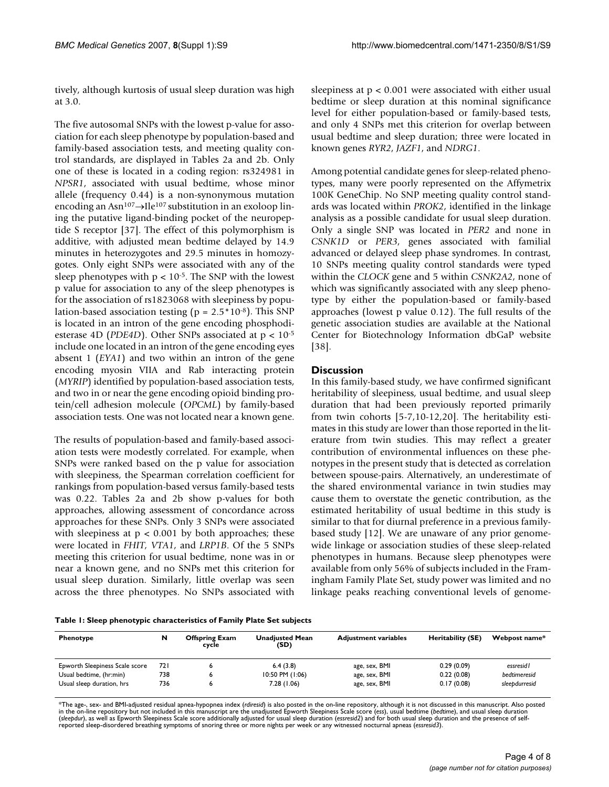tively, although kurtosis of usual sleep duration was high at 3.0.

The five autosomal SNPs with the lowest p-value for association for each sleep phenotype by population-based and family-based association tests, and meeting quality control standards, are displayed in Tables 2a and 2b. Only one of these is located in a coding region: rs324981 in *NPSR1*, associated with usual bedtime, whose minor allele (frequency 0.44) is a non-synonymous mutation encoding an Asn107→Ile107 substitution in an exoloop lining the putative ligand-binding pocket of the neuropeptide S receptor [37]. The effect of this polymorphism is additive, with adjusted mean bedtime delayed by 14.9 minutes in heterozygotes and 29.5 minutes in homozygotes. Only eight SNPs were associated with any of the sleep phenotypes with  $p < 10^{-5}$ . The SNP with the lowest p value for association to any of the sleep phenotypes is for the association of rs1823068 with sleepiness by population-based association testing ( $p = 2.5*10*8$ ). This SNP is located in an intron of the gene encoding phosphodiesterase 4D (*PDE4D*). Other SNPs associated at p < 10-5 include one located in an intron of the gene encoding eyes absent 1 (*EYA1*) and two within an intron of the gene encoding myosin VIIA and Rab interacting protein (*MYRIP*) identified by population-based association tests, and two in or near the gene encoding opioid binding protein/cell adhesion molecule (*OPCML*) by family-based association tests. One was not located near a known gene.

The results of population-based and family-based association tests were modestly correlated. For example, when SNPs were ranked based on the p value for association with sleepiness, the Spearman correlation coefficient for rankings from population-based versus family-based tests was 0.22. Tables 2a and 2b show p-values for both approaches, allowing assessment of concordance across approaches for these SNPs. Only 3 SNPs were associated with sleepiness at  $p < 0.001$  by both approaches; these were located in *FHIT, VTA1*, and *LRP1B*. Of the 5 SNPs meeting this criterion for usual bedtime, none was in or near a known gene, and no SNPs met this criterion for usual sleep duration. Similarly, little overlap was seen across the three phenotypes. No SNPs associated with

sleepiness at p < 0.001 were associated with either usual bedtime or sleep duration at this nominal significance level for either population-based or family-based tests, and only 4 SNPs met this criterion for overlap between usual bedtime and sleep duration; three were located in known genes *RYR2*, *JAZF1*, and *NDRG1*.

Among potential candidate genes for sleep-related phenotypes, many were poorly represented on the Affymetrix 100K GeneChip. No SNP meeting quality control standards was located within *PROK2*, identified in the linkage analysis as a possible candidate for usual sleep duration. Only a single SNP was located in *PER2* and none in *CSNK1D* or *PER3*, genes associated with familial advanced or delayed sleep phase syndromes. In contrast, 10 SNPs meeting quality control standards were typed within the *CLOCK* gene and 5 within *CSNK2A2*, none of which was significantly associated with any sleep phenotype by either the population-based or family-based approaches (lowest p value 0.12). The full results of the genetic association studies are available at the National Center for Biotechnology Information dbGaP website [38].

## **Discussion**

In this family-based study, we have confirmed significant heritability of sleepiness, usual bedtime, and usual sleep duration that had been previously reported primarily from twin cohorts [5-7,10-12,20]. The heritability estimates in this study are lower than those reported in the literature from twin studies. This may reflect a greater contribution of environmental influences on these phenotypes in the present study that is detected as correlation between spouse-pairs. Alternatively, an underestimate of the shared environmental variance in twin studies may cause them to overstate the genetic contribution, as the estimated heritability of usual bedtime in this study is similar to that for diurnal preference in a previous familybased study [12]. We are unaware of any prior genomewide linkage or association studies of these sleep-related phenotypes in humans. Because sleep phenotypes were available from only 56% of subjects included in the Framingham Family Plate Set, study power was limited and no linkage peaks reaching conventional levels of genome-

**Table 1: Sleep phenotypic characteristics of Family Plate Set subjects**

| Phenotype                      | N    | <b>Offspring Exam</b><br>cycle | Unadiusted Mean<br>(SD) | <b>Adjustment variables</b> | Heritability (SE) | Webpost name* |
|--------------------------------|------|--------------------------------|-------------------------|-----------------------------|-------------------|---------------|
| Epworth Sleepiness Scale score | 72 I |                                | 6.4(3.8)                | age, sex, BMI               | 0.29(0.09)        | essresid l    |
| Usual bedtime, (hr:min)        | 738  |                                | $10:50$ PM $(1:06)$     | age, sex, BMI               | 0.22(0.08)        | bedtimeresid  |
| Usual sleep duration, hrs      | 736  |                                | 7.28(1.06)              | age, sex, BMI               | 0.17(0.08)        | sleepdurresid |

\*The age-, sex- and BMI-adjusted residual apnea-hypopnea index (*rdiresid*) is also posted in the on-line repository, although it is not discussed in this manuscript. Also posted in the on-line repository but not included in this manuscript are the unadjusted Epworth Sleepiness Scale score (ess), usual bedtime (bedtime), and usual sleep duration<br>(sleepdur), as well as Epworth Sleepiness Scale score reported sleep-disordered breathing symptoms of snoring three or more nights per week or any witnessed nocturnal apneas (*essresid3*).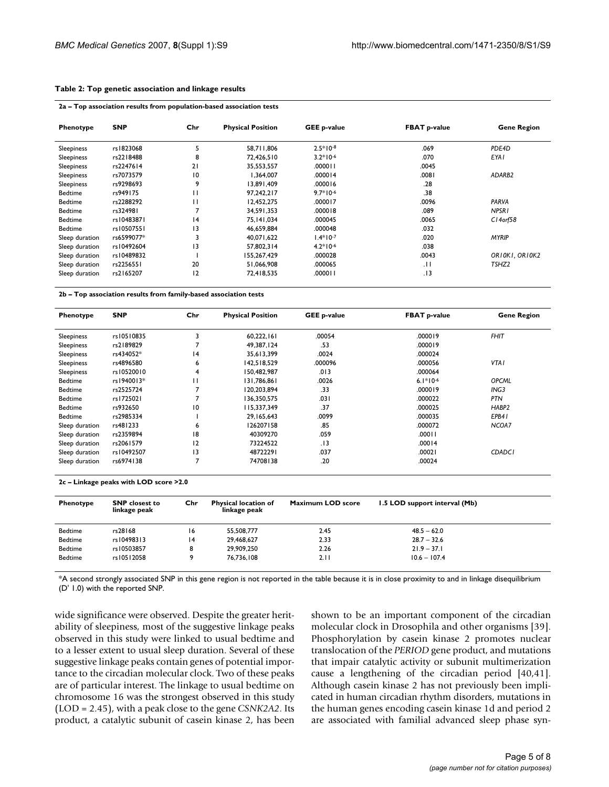#### **Table 2: Top genetic association and linkage results**

| Phenotype      | <b>SNP</b> | Chr             | <b>Physical Position</b> | <b>GEE p-value</b> | <b>FBAT p-value</b> | <b>Gene Region</b> |
|----------------|------------|-----------------|--------------------------|--------------------|---------------------|--------------------|
| Sleepiness     | rs1823068  | 5               | 58,711,806               | $2.5*10-8$         | .069                | PDE4D              |
| Sleepiness     | rs2218488  | 8               | 72,426.510               | $3.2*10-6$         | .070                | <b>EYA1</b>        |
| Sleepiness     | rs2247614  | 21              | 35,553,557               | .000011            | .0045               |                    |
| Sleepiness     | rs7073579  | $\overline{10}$ | 1.364.007                | .000014            | .0081               | ADARB2             |
| Sleepiness     | rs9298693  | 9               | 13,891,409               | .000016            | .28                 |                    |
| <b>Bedtime</b> | rs949175   | П               | 97,242,217               | $9.7*10-6$         | .38                 |                    |
| <b>Bedtime</b> | rs2288292  | П               | 12,452,275               | .000017            | .0096               | PARVA              |
| <b>Bedtime</b> | rs324981   |                 | 34.591.353               | .000018            | .089                | NPSR <sub>1</sub>  |
| <b>Bedtime</b> | rs10483871 | 4               | 75, 141, 034             | .000045            | .0065               | $C14$ orf $58$     |
| <b>Bedtime</b> | rs10507551 | 13              | 46,659,884               | .000048            | .032                |                    |
| Sleep duration | rs6599077* |                 | 40,071,622               | $1.4*10-7$         | .020                | <b>MYRIP</b>       |
| Sleep duration | rs10492604 | 13              | 57,802,314               | $4.2*10-6$         | .038                |                    |
| Sleep duration | rs10489832 |                 | 155,267,429              | .000028            | .0043               | ORIOKI, ORIOK2     |
| Sleep duration | rs2256551  | 20              | 51,066,908               | .000065            | .11                 | TSHZ <sub>2</sub>  |
| Sleep duration | rs2165207  | 12              | 72,418,535               | 110000.            | . I 3               |                    |

**2b – Top association results from family-based association tests**

| Phenotype      | <b>SNP</b> | Chr            | <b>Physical Position</b> | <b>GEE p-value</b> | <b>FBAT p-value</b> | <b>Gene Region</b> |
|----------------|------------|----------------|--------------------------|--------------------|---------------------|--------------------|
| Sleepiness     | rs10510835 | 3              | 60,222,161               | .00054             | .000019             | <b>FHIT</b>        |
| Sleepiness     | rs2189829  |                | 49.387.124               | .53                | .000019             |                    |
| Sleepiness     | rs434052*  | 14             | 35.613.399               | .0024              | .000024             |                    |
| Sleepiness     | rs4896580  | 6              | 142.518.529              | .000096            | .000056             | VTA I              |
| Sleepiness     | rs10520010 | 4              | 150,482,987              | .013               | .000064             |                    |
| <b>Bedtime</b> | rs1940013* | н              | 131.786.861              | .0026              | $6.1*10-6$          | <b>OPCML</b>       |
| <b>Bedtime</b> | rs2525724  |                | 120.203.894              | .33                | .000019             | ING3               |
| <b>Bedtime</b> | rs1725021  |                | 136,350,575              | .031               | .000022             | <b>PTN</b>         |
| <b>Bedtime</b> | rs932650   | 10             | 115,337,349              | .37                | .000025             | HABP <sub>2</sub>  |
| <b>Bedtime</b> | rs2985334  |                | 29,165,643               | .0099              | .000035             | EPB41              |
| Sleep duration | rs481233   | 6              | 126207158                | .85                | .000072             | NCOA7              |
| Sleep duration | rs2359894  | 18             | 40309270                 | .059               | .00011              |                    |
| Sleep duration | rs2061579  | 12             | 73224522                 | .13                | .00014              |                    |
| Sleep duration | rs10492507 | 13             | 48722291                 | .037               | .00021              | <b>CDADCI</b>      |
| Sleep duration | rs6974138  | $\overline{ }$ | 74708138                 | .20                | .00024              |                    |

**2c – Linkage peaks with LOD score >2.0**

| Phenotype      | <b>SNP</b> closest to<br>linkage peak | Chr | <b>Physical location of</b><br>linkage peak | Maximum LOD score | 1.5 LOD support interval (Mb) |
|----------------|---------------------------------------|-----|---------------------------------------------|-------------------|-------------------------------|
| <b>Bedtime</b> | rs28168                               | 16  | 55,508,777                                  | 2.45              | $48.5 - 62.0$                 |
| <b>Bedtime</b> | rs10498313                            | 4   | 29,468,627                                  | 2.33              | $28.7 - 32.6$                 |
| <b>Bedtime</b> | rs10503857                            | 8   | 29,909,250                                  | 2.26              | $21.9 - 37.1$                 |
| <b>Bedtime</b> | rs10512058                            | q   | 76.736.108                                  | 2.11              | $10.6 - 107.4$                |

\*A second strongly associated SNP in this gene region is not reported in the table because it is in close proximity to and in linkage disequilibrium (D' 1.0) with the reported SNP.

wide significance were observed. Despite the greater heritability of sleepiness, most of the suggestive linkage peaks observed in this study were linked to usual bedtime and to a lesser extent to usual sleep duration. Several of these suggestive linkage peaks contain genes of potential importance to the circadian molecular clock. Two of these peaks are of particular interest. The linkage to usual bedtime on chromosome 16 was the strongest observed in this study (LOD = 2.45), with a peak close to the gene *CSNK2A2*. Its product, a catalytic subunit of casein kinase 2, has been shown to be an important component of the circadian molecular clock in Drosophila and other organisms [39]. Phosphorylation by casein kinase 2 promotes nuclear translocation of the *PERIOD* gene product, and mutations that impair catalytic activity or subunit multimerization cause a lengthening of the circadian period [40,41]. Although casein kinase 2 has not previously been implicated in human circadian rhythm disorders, mutations in the human genes encoding casein kinase 1d and period 2 are associated with familial advanced sleep phase syn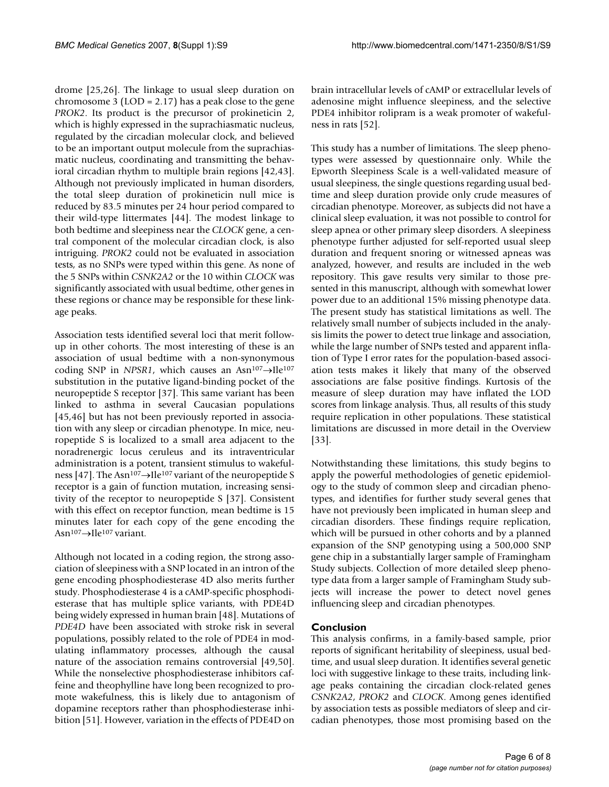drome [25,26]. The linkage to usual sleep duration on chromosome 3 (LOD = 2.17) has a peak close to the gene *PROK2*. Its product is the precursor of prokineticin 2, which is highly expressed in the suprachiasmatic nucleus, regulated by the circadian molecular clock, and believed to be an important output molecule from the suprachiasmatic nucleus, coordinating and transmitting the behavioral circadian rhythm to multiple brain regions [42,43]. Although not previously implicated in human disorders, the total sleep duration of prokineticin null mice is reduced by 83.5 minutes per 24 hour period compared to their wild-type littermates [44]. The modest linkage to both bedtime and sleepiness near the *CLOCK* gene, a central component of the molecular circadian clock, is also intriguing. *PROK2* could not be evaluated in association tests, as no SNPs were typed within this gene. As none of the 5 SNPs within *CSNK2A2* or the 10 within *CLOCK* was significantly associated with usual bedtime, other genes in these regions or chance may be responsible for these linkage peaks.

Association tests identified several loci that merit followup in other cohorts. The most interesting of these is an association of usual bedtime with a non-synonymous coding SNP in *NPSR1*, which causes an Asn<sup>107</sup>→Ile<sup>107</sup> substitution in the putative ligand-binding pocket of the neuropeptide S receptor [37]. This same variant has been linked to asthma in several Caucasian populations [45,46] but has not been previously reported in association with any sleep or circadian phenotype. In mice, neuropeptide S is localized to a small area adjacent to the noradrenergic locus ceruleus and its intraventricular administration is a potent, transient stimulus to wakefulness [47]. The Asn<sup>107</sup>→Ile<sup>107</sup> variant of the neuropeptide S receptor is a gain of function mutation, increasing sensitivity of the receptor to neuropeptide S [37]. Consistent with this effect on receptor function, mean bedtime is 15 minutes later for each copy of the gene encoding the Asn107→Ile107 variant.

Although not located in a coding region, the strong association of sleepiness with a SNP located in an intron of the gene encoding phosphodiesterase 4D also merits further study. Phosphodiesterase 4 is a cAMP-specific phosphodiesterase that has multiple splice variants, with PDE4D being widely expressed in human brain [48]. Mutations of *PDE4D* have been associated with stroke risk in several populations, possibly related to the role of PDE4 in modulating inflammatory processes, although the causal nature of the association remains controversial [49,50]. While the nonselective phosphodiesterase inhibitors caffeine and theophylline have long been recognized to promote wakefulness, this is likely due to antagonism of dopamine receptors rather than phosphodiesterase inhibition [51]. However, variation in the effects of PDE4D on

brain intracellular levels of cAMP or extracellular levels of adenosine might influence sleepiness, and the selective PDE4 inhibitor rolipram is a weak promoter of wakefulness in rats [52].

This study has a number of limitations. The sleep phenotypes were assessed by questionnaire only. While the Epworth Sleepiness Scale is a well-validated measure of usual sleepiness, the single questions regarding usual bedtime and sleep duration provide only crude measures of circadian phenotype. Moreover, as subjects did not have a clinical sleep evaluation, it was not possible to control for sleep apnea or other primary sleep disorders. A sleepiness phenotype further adjusted for self-reported usual sleep duration and frequent snoring or witnessed apneas was analyzed, however, and results are included in the web repository. This gave results very similar to those presented in this manuscript, although with somewhat lower power due to an additional 15% missing phenotype data. The present study has statistical limitations as well. The relatively small number of subjects included in the analysis limits the power to detect true linkage and association, while the large number of SNPs tested and apparent inflation of Type I error rates for the population-based association tests makes it likely that many of the observed associations are false positive findings. Kurtosis of the measure of sleep duration may have inflated the LOD scores from linkage analysis. Thus, all results of this study require replication in other populations. These statistical limitations are discussed in more detail in the Overview [33].

Notwithstanding these limitations, this study begins to apply the powerful methodologies of genetic epidemiology to the study of common sleep and circadian phenotypes, and identifies for further study several genes that have not previously been implicated in human sleep and circadian disorders. These findings require replication, which will be pursued in other cohorts and by a planned expansion of the SNP genotyping using a 500,000 SNP gene chip in a substantially larger sample of Framingham Study subjects. Collection of more detailed sleep phenotype data from a larger sample of Framingham Study subjects will increase the power to detect novel genes influencing sleep and circadian phenotypes.

## **Conclusion**

This analysis confirms, in a family-based sample, prior reports of significant heritability of sleepiness, usual bedtime, and usual sleep duration. It identifies several genetic loci with suggestive linkage to these traits, including linkage peaks containing the circadian clock-related genes *CSNK2A2*, *PROK2* and *CLOCK*. Among genes identified by association tests as possible mediators of sleep and circadian phenotypes, those most promising based on the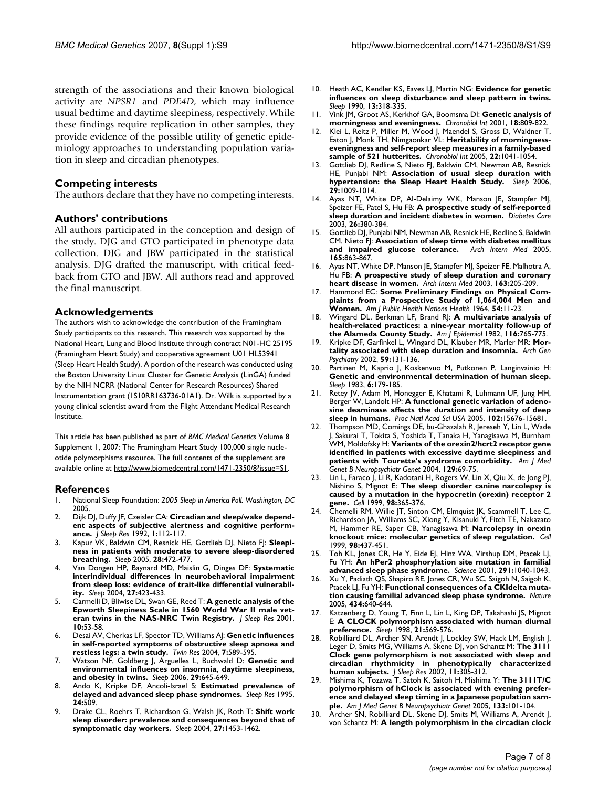strength of the associations and their known biological activity are *NPSR1* and *PDE4D*, which may influence usual bedtime and daytime sleepiness, respectively. While these findings require replication in other samples, they provide evidence of the possible utility of genetic epidemiology approaches to understanding population variation in sleep and circadian phenotypes.

#### **Competing interests**

The authors declare that they have no competing interests.

## **Authors' contributions**

All authors participated in the conception and design of the study. DJG and GTO participated in phenotype data collection. DJG and JBW participated in the statistical analysis. DJG drafted the manuscript, with critical feedback from GTO and JBW. All authors read and approved the final manuscript.

#### **Acknowledgements**

The authors wish to acknowledge the contribution of the Framingham Study participants to this research. This research was supported by the National Heart, Lung and Blood Institute through contract N01-HC 25195 (Framingham Heart Study) and cooperative agreement U01 HL53941 (Sleep Heart Health Study). A portion of the research was conducted using the Boston University Linux Cluster for Genetic Analysis (LinGA) funded by the NIH NCRR (National Center for Research Resources) Shared Instrumentation grant (1S10RR163736-01A1). Dr. Wilk is supported by a young clinical scientist award from the Flight Attendant Medical Research Institute.

This article has been published as part of *BMC Medical Genetics* Volume 8 Supplement 1, 2007: The Framingham Heart Study 100,000 single nucleotide polymorphisms resource. The full contents of the supplement are available online at<http://www.biomedcentral.com/1471-2350/8?issue=S1>.

#### **References**

- 1. National Sleep Foundation: *2005 Sleep in America Poll. Washington, DC* 2005.
- 2. Dijk DJ, Duffy JF, Czeisler CA: **[Circadian and sleep/wake depend](http://www.ncbi.nlm.nih.gov/entrez/query.fcgi?cmd=Retrieve&db=PubMed&dopt=Abstract&list_uids=10607036)[ent aspects of subjective alertness and cognitive perform](http://www.ncbi.nlm.nih.gov/entrez/query.fcgi?cmd=Retrieve&db=PubMed&dopt=Abstract&list_uids=10607036)[ance.](http://www.ncbi.nlm.nih.gov/entrez/query.fcgi?cmd=Retrieve&db=PubMed&dopt=Abstract&list_uids=10607036)** *J Sleep Res* 1992, **1:**112-117.
- 3. Kapur VK, Baldwin CM, Resnick HE, Gottlieb DJ, Nieto FJ: **[Sleepi](http://www.ncbi.nlm.nih.gov/entrez/query.fcgi?cmd=Retrieve&db=PubMed&dopt=Abstract&list_uids=16171292)[ness in patients with moderate to severe sleep-disordered](http://www.ncbi.nlm.nih.gov/entrez/query.fcgi?cmd=Retrieve&db=PubMed&dopt=Abstract&list_uids=16171292) [breathing.](http://www.ncbi.nlm.nih.gov/entrez/query.fcgi?cmd=Retrieve&db=PubMed&dopt=Abstract&list_uids=16171292)** *Sleep* 2005, **28:**472-477.
- 4. Van Dongen HP, Baynard MD, Maislin G, Dinges DF: **[Systematic](http://www.ncbi.nlm.nih.gov/entrez/query.fcgi?cmd=Retrieve&db=PubMed&dopt=Abstract&list_uids=15164894) [interindividual differences in neurobehavioral impairment](http://www.ncbi.nlm.nih.gov/entrez/query.fcgi?cmd=Retrieve&db=PubMed&dopt=Abstract&list_uids=15164894) from sleep loss: evidence of trait-like differential vulnerabil[ity.](http://www.ncbi.nlm.nih.gov/entrez/query.fcgi?cmd=Retrieve&db=PubMed&dopt=Abstract&list_uids=15164894)** *Sleep* 2004, **27:**423-433.
- 5. Carmelli D, Bliwise DL, Swan GE, Reed T: **[A genetic analysis of the](http://www.ncbi.nlm.nih.gov/entrez/query.fcgi?cmd=Retrieve&db=PubMed&dopt=Abstract&list_uids=11285055) [Epworth Sleepiness Scale in 1560 World War II male vet](http://www.ncbi.nlm.nih.gov/entrez/query.fcgi?cmd=Retrieve&db=PubMed&dopt=Abstract&list_uids=11285055)[eran twins in the NAS-NRC Twin Registry.](http://www.ncbi.nlm.nih.gov/entrez/query.fcgi?cmd=Retrieve&db=PubMed&dopt=Abstract&list_uids=11285055)** *J Sleep Res* 2001, **10:**53-58.
- 6. Desai AV, Cherkas LF, Spector TD, Williams AJ: **[Genetic influences](http://www.ncbi.nlm.nih.gov/entrez/query.fcgi?cmd=Retrieve&db=PubMed&dopt=Abstract&list_uids=15607009) [in self-reported symptoms of obstructive sleep apnoea and](http://www.ncbi.nlm.nih.gov/entrez/query.fcgi?cmd=Retrieve&db=PubMed&dopt=Abstract&list_uids=15607009) [restless legs: a twin study.](http://www.ncbi.nlm.nih.gov/entrez/query.fcgi?cmd=Retrieve&db=PubMed&dopt=Abstract&list_uids=15607009)** *Twin Res* 2004, **7:**589-595.
- 7. Watson NF, Goldberg J, Arguelles L, Buchwald D: **[Genetic and](http://www.ncbi.nlm.nih.gov/entrez/query.fcgi?cmd=Retrieve&db=PubMed&dopt=Abstract&list_uids=16774154) [environmental influences on insomnia, daytime sleepiness,](http://www.ncbi.nlm.nih.gov/entrez/query.fcgi?cmd=Retrieve&db=PubMed&dopt=Abstract&list_uids=16774154) [and obesity in twins.](http://www.ncbi.nlm.nih.gov/entrez/query.fcgi?cmd=Retrieve&db=PubMed&dopt=Abstract&list_uids=16774154)** *Sleep* 2006, **29:**645-649.
- 8. Ando K, Kripke DF, Ancoli-Israel S: **Estimated prevalence of delayed and advanced sleep phase syndromes.** *Sleep Res* 1995, **24:**509.
- 9. Drake CL, Roehrs T, Richardson G, Walsh JK, Roth T: **[Shift work](http://www.ncbi.nlm.nih.gov/entrez/query.fcgi?cmd=Retrieve&db=PubMed&dopt=Abstract&list_uids=15683134) [sleep disorder: prevalence and consequences beyond that of](http://www.ncbi.nlm.nih.gov/entrez/query.fcgi?cmd=Retrieve&db=PubMed&dopt=Abstract&list_uids=15683134) [symptomatic day workers.](http://www.ncbi.nlm.nih.gov/entrez/query.fcgi?cmd=Retrieve&db=PubMed&dopt=Abstract&list_uids=15683134)** *Sleep* 2004, **27:**1453-1462.
- 10. Heath AC, Kendler KS, Eaves LJ, Martin NG: **[Evidence for genetic](http://www.ncbi.nlm.nih.gov/entrez/query.fcgi?cmd=Retrieve&db=PubMed&dopt=Abstract&list_uids=2267475) [influences on sleep disturbance and sleep pattern in twins.](http://www.ncbi.nlm.nih.gov/entrez/query.fcgi?cmd=Retrieve&db=PubMed&dopt=Abstract&list_uids=2267475)** *Sleep* 1990, **13:**318-335.
- 11. Vink JM, Groot AS, Kerkhof GA, Boomsma DI: **[Genetic analysis of](http://www.ncbi.nlm.nih.gov/entrez/query.fcgi?cmd=Retrieve&db=PubMed&dopt=Abstract&list_uids=11763988) [morningness and eveningness.](http://www.ncbi.nlm.nih.gov/entrez/query.fcgi?cmd=Retrieve&db=PubMed&dopt=Abstract&list_uids=11763988)** *Chronobiol Int* 2001, **18:**809-822.
- 12. Klei L, Reitz P, Miller M, Wood J, Maendel S, Gross D, Waldner T, Eaton J, Monk TH, Nimgaonkar VL: **[Heritability of morningness](http://www.ncbi.nlm.nih.gov/entrez/query.fcgi?cmd=Retrieve&db=PubMed&dopt=Abstract&list_uids=16393707)[eveningness and self-report sleep measures in a family-based](http://www.ncbi.nlm.nih.gov/entrez/query.fcgi?cmd=Retrieve&db=PubMed&dopt=Abstract&list_uids=16393707) [sample of 521 hutterites.](http://www.ncbi.nlm.nih.gov/entrez/query.fcgi?cmd=Retrieve&db=PubMed&dopt=Abstract&list_uids=16393707)** *Chronobiol Int* 2005, **22:**1041-1054.
- 13. Gottlieb DJ, Redline S, Nieto FJ, Baldwin CM, Newman AB, Resnick HE, Punjabi NM: **[Association of usual sleep duration with](http://www.ncbi.nlm.nih.gov/entrez/query.fcgi?cmd=Retrieve&db=PubMed&dopt=Abstract&list_uids=16944668) [hypertension: the Sleep Heart Health Study.](http://www.ncbi.nlm.nih.gov/entrez/query.fcgi?cmd=Retrieve&db=PubMed&dopt=Abstract&list_uids=16944668)** *Sleep* 2006, **29:**1009-1014.
- 14. Ayas NT, White DP, Al-Delaimy WK, Manson JE, Stampfer MJ, Speizer FE, Patel S, Hu FB: **[A prospective study of self-reported](http://www.ncbi.nlm.nih.gov/entrez/query.fcgi?cmd=Retrieve&db=PubMed&dopt=Abstract&list_uids=12547866) [sleep duration and incident diabetes in women.](http://www.ncbi.nlm.nih.gov/entrez/query.fcgi?cmd=Retrieve&db=PubMed&dopt=Abstract&list_uids=12547866)** *Diabetes Care* 2003, **26:**380-384.
- 15. Gottlieb DJ, Punjabi NM, Newman AB, Resnick HE, Redline S, Baldwin CM, Nieto FJ: **[Association of sleep time with diabetes mellitus](http://www.ncbi.nlm.nih.gov/entrez/query.fcgi?cmd=Retrieve&db=PubMed&dopt=Abstract&list_uids=15851636) [and impaired glucose tolerance.](http://www.ncbi.nlm.nih.gov/entrez/query.fcgi?cmd=Retrieve&db=PubMed&dopt=Abstract&list_uids=15851636)** *Arch Intern Med* 2005, **165:**863-867.
- 16. Ayas NT, White DP, Manson JE, Stampfer MJ, Speizer FE, Malhotra A, Hu FB: **[A prospective study of sleep duration and coronary](http://www.ncbi.nlm.nih.gov/entrez/query.fcgi?cmd=Retrieve&db=PubMed&dopt=Abstract&list_uids=12546611) [heart disease in women.](http://www.ncbi.nlm.nih.gov/entrez/query.fcgi?cmd=Retrieve&db=PubMed&dopt=Abstract&list_uids=12546611)** *Arch Intern Med* 2003, **163:**205-209.
- 17. Hammond EC: **[Some Preliminary Findings on Physical Com](http://www.ncbi.nlm.nih.gov/entrez/query.fcgi?cmd=Retrieve&db=PubMed&dopt=Abstract&list_uids=14117648)[plaints from a Prospective Study of 1,064,004 Men and](http://www.ncbi.nlm.nih.gov/entrez/query.fcgi?cmd=Retrieve&db=PubMed&dopt=Abstract&list_uids=14117648) [Women.](http://www.ncbi.nlm.nih.gov/entrez/query.fcgi?cmd=Retrieve&db=PubMed&dopt=Abstract&list_uids=14117648)** *Am J Public Health Nations Health* 1964, **54:**11-23.
- 18. Wingard DL, Berkman LF, Brand RJ: **[A multivariate analysis of](http://www.ncbi.nlm.nih.gov/entrez/query.fcgi?cmd=Retrieve&db=PubMed&dopt=Abstract&list_uids=7148802) [health-related practices: a nine-year mortality follow-up of](http://www.ncbi.nlm.nih.gov/entrez/query.fcgi?cmd=Retrieve&db=PubMed&dopt=Abstract&list_uids=7148802) [the Alameda County Study.](http://www.ncbi.nlm.nih.gov/entrez/query.fcgi?cmd=Retrieve&db=PubMed&dopt=Abstract&list_uids=7148802)** *Am J Epidemiol* 1982, **116:**765-775.
- Kripke DF, Garfinkel L, Wingard DL, Klauber MR, Marler MR: [Mor](http://www.ncbi.nlm.nih.gov/entrez/query.fcgi?cmd=Retrieve&db=PubMed&dopt=Abstract&list_uids=11825133)**[tality associated with sleep duration and insomnia.](http://www.ncbi.nlm.nih.gov/entrez/query.fcgi?cmd=Retrieve&db=PubMed&dopt=Abstract&list_uids=11825133)** *Arch Gen Psychiatry* 2002, **59:**131-136.
- 20. Partinen M, Kaprio J, Koskenvuo M, Putkonen P, Langinvainio H: **[Genetic and environmental determination of human sleep.](http://www.ncbi.nlm.nih.gov/entrez/query.fcgi?cmd=Retrieve&db=PubMed&dopt=Abstract&list_uids=6684786)** *Sleep* 1983, **6:**179-185.
- 21. Retey JV, Adam M, Honegger E, Khatami R, Luhmann UF, Jung HH, Berger W, Landolt HP: **[A functional genetic variation of adeno](http://www.ncbi.nlm.nih.gov/entrez/query.fcgi?cmd=Retrieve&db=PubMed&dopt=Abstract&list_uids=16221767)[sine deaminase affects the duration and intensity of deep](http://www.ncbi.nlm.nih.gov/entrez/query.fcgi?cmd=Retrieve&db=PubMed&dopt=Abstract&list_uids=16221767) [sleep in humans.](http://www.ncbi.nlm.nih.gov/entrez/query.fcgi?cmd=Retrieve&db=PubMed&dopt=Abstract&list_uids=16221767)** *Proc Natl Acad Sci USA* 2005, **102:**15676-15681.
- 22. Thompson MD, Comings DE, bu-Ghazalah R, Jereseh Y, Lin L, Wade J, Sakurai T, Tokita S, Yoshida T, Tanaka H, Yanagisawa M, Burnham WM, Moldofsky H: **[Variants of the orexin2/hcrt2 receptor gene](http://www.ncbi.nlm.nih.gov/entrez/query.fcgi?cmd=Retrieve&db=PubMed&dopt=Abstract&list_uids=15274044) [identified in patients with excessive daytime sleepiness and](http://www.ncbi.nlm.nih.gov/entrez/query.fcgi?cmd=Retrieve&db=PubMed&dopt=Abstract&list_uids=15274044) [patients with Tourette's syndrome comorbidity.](http://www.ncbi.nlm.nih.gov/entrez/query.fcgi?cmd=Retrieve&db=PubMed&dopt=Abstract&list_uids=15274044)** *Am J Med Genet B Neuropsychiatr Genet* 2004, **129:**69-75.
- 23. Lin L, Faraco J, Li R, Kadotani H, Rogers W, Lin X, Qiu X, de Jong PJ, Nishino S, Mignot E: **[The sleep disorder canine narcolepsy is](http://www.ncbi.nlm.nih.gov/entrez/query.fcgi?cmd=Retrieve&db=PubMed&dopt=Abstract&list_uids=10458611) [caused by a mutation in the hypocretin \(orexin\) receptor 2](http://www.ncbi.nlm.nih.gov/entrez/query.fcgi?cmd=Retrieve&db=PubMed&dopt=Abstract&list_uids=10458611) [gene.](http://www.ncbi.nlm.nih.gov/entrez/query.fcgi?cmd=Retrieve&db=PubMed&dopt=Abstract&list_uids=10458611)** *Cell* 1999, **98:**365-376.
- 24. Chemelli RM, Willie JT, Sinton CM, Elmquist JK, Scammell T, Lee C, Richardson JA, Williams SC, Xiong Y, Kisanuki Y, Fitch TE, Nakazato M, Hammer RE, Saper CB, Yanagisawa M: **[Narcolepsy in orexin](http://www.ncbi.nlm.nih.gov/entrez/query.fcgi?cmd=Retrieve&db=PubMed&dopt=Abstract&list_uids=10481909) [knockout mice: molecular genetics of sleep regulation.](http://www.ncbi.nlm.nih.gov/entrez/query.fcgi?cmd=Retrieve&db=PubMed&dopt=Abstract&list_uids=10481909)** *Cell* 1999, **98:**437-451.
- 25. Toh KL, Jones CR, He Y, Eide EJ, Hinz WA, Virshup DM, Ptacek LJ, Fu YH: **[An hPer2 phosphorylation site mutation in familial](http://www.ncbi.nlm.nih.gov/entrez/query.fcgi?cmd=Retrieve&db=PubMed&dopt=Abstract&list_uids=11232563) [advanced sleep phase syndrome.](http://www.ncbi.nlm.nih.gov/entrez/query.fcgi?cmd=Retrieve&db=PubMed&dopt=Abstract&list_uids=11232563)** *Science* 2001, **291:**1040-1043.
- 26. Xu Y, Padiath QS, Shapiro RE, Jones CR, Wu SC, Saigoh N, Saigoh K, Ptacek LJ, Fu YH: **[Functional consequences of a CKIdelta muta](http://www.ncbi.nlm.nih.gov/entrez/query.fcgi?cmd=Retrieve&db=PubMed&dopt=Abstract&list_uids=15800623)[tion causing familial advanced sleep phase syndrome.](http://www.ncbi.nlm.nih.gov/entrez/query.fcgi?cmd=Retrieve&db=PubMed&dopt=Abstract&list_uids=15800623)** *Nature* 2005, **434:**640-644.
- Katzenberg D, Young T, Finn L, Lin L, King DP, Takahashi JS, Mignot E: **[A CLOCK polymorphism associated with human diurnal](http://www.ncbi.nlm.nih.gov/entrez/query.fcgi?cmd=Retrieve&db=PubMed&dopt=Abstract&list_uids=9779516) [preference.](http://www.ncbi.nlm.nih.gov/entrez/query.fcgi?cmd=Retrieve&db=PubMed&dopt=Abstract&list_uids=9779516)** *Sleep* 1998, **21:**569-576.
- 28. Robilliard DL, Archer SN, Arendt J, Lockley SW, Hack LM, English J, Leger D, Smits MG, Williams A, Skene DJ, von Schantz M: **[The 3111](http://www.ncbi.nlm.nih.gov/entrez/query.fcgi?cmd=Retrieve&db=PubMed&dopt=Abstract&list_uids=12464098) [Clock gene polymorphism is not associated with sleep and](http://www.ncbi.nlm.nih.gov/entrez/query.fcgi?cmd=Retrieve&db=PubMed&dopt=Abstract&list_uids=12464098) circadian rhythmicity in phenotypically characterized [human subjects.](http://www.ncbi.nlm.nih.gov/entrez/query.fcgi?cmd=Retrieve&db=PubMed&dopt=Abstract&list_uids=12464098)** *J Sleep Res* 2002, **11:**305-312.
- 29. Mishima K, Tozawa T, Satoh K, Saitoh H, Mishima Y: **[The 3111T/C](http://www.ncbi.nlm.nih.gov/entrez/query.fcgi?cmd=Retrieve&db=PubMed&dopt=Abstract&list_uids=15578592) [polymorphism of hClock is associated with evening prefer](http://www.ncbi.nlm.nih.gov/entrez/query.fcgi?cmd=Retrieve&db=PubMed&dopt=Abstract&list_uids=15578592)ence and delayed sleep timing in a Japanese population sam[ple.](http://www.ncbi.nlm.nih.gov/entrez/query.fcgi?cmd=Retrieve&db=PubMed&dopt=Abstract&list_uids=15578592)** *Am J Med Genet B Neuropsychiatr Genet* 2005, **133:**101-104.
- 30. Archer SN, Robilliard DL, Skene DJ, Smits M, Williams A, Arendt J von Schantz M: **[A length polymorphism in the circadian clock](http://www.ncbi.nlm.nih.gov/entrez/query.fcgi?cmd=Retrieve&db=PubMed&dopt=Abstract&list_uids=12841365)**